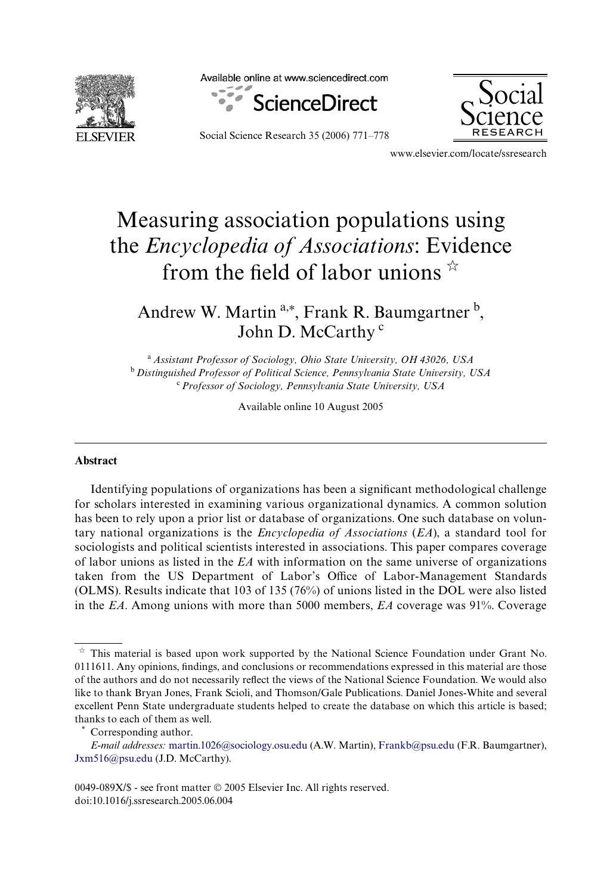

Available online at www.sciencedirect.com





Social Science Research 35 (2006) 771–778

www.elsevier.com/locate/ssresearch

# Measuring association populations using the *Encyclopedia of Associations*: Evidence from the field of labor unions  $\dot{x}$

Andrew W. Martin<sup>a,\*</sup>, Frank R. Baumgartner <sup>b</sup>, John D. McCarthy<sup>c</sup>

<sup>a</sup>*Assistant Professor of Sociology, Ohio State University, OH 43026, USA* <sup>b</sup>*Distinguished Professor of Political Science, Pennsylvania State University, USA* <sup>c</sup>*Professor of Sociology, Pennsylvania State University, USA*

Available online 10 August 2005

## **Abstract**

Identifying populations of organizations has been a significant methodological challenge for scholars interested in examining various organizational dynamics. A common solution has been to rely upon a prior list or database of organizations. One such database on voluntary national organizations is the *Encyclopedia of Associations* (*EA*), a standard tool for sociologists and political scientists interested in associations. This paper compares coverage of labor unions as listed in the *EA* with information on the same universe of organizations taken from the US Department of Labor's Office of Labor-Management Standards (OLMS). Results indicate that 103 of 135 (76%) of unions listed in the DOL were also listed in the *EA*. Among unions with more than 5000 members, *EA* coverage was 91%. Coverage

 $\boldsymbol{\vec{z}}$  This material is based upon work supported by the National Science Foundation under Grant No. 0111611. Any opinions, findings, and conclusions or recommendations expressed in this material are those of the authors and do not necessarily reflect the views of the National Science Foundation. We would also like to thank Bryan Jones, Frank Scioli, and Thomson/Gale Publications. Daniel Jones-White and several excellent Penn State undergraduate students helped to create the database on which this article is based; thanks to each of them as well.

Corresponding author.

*E-mail addresses:* [martin.1026@sociology.osu.edu](mailto: martin.1026@sociology.osu.edu) (A.W. Martin), [Frankb@psu.edu](mailto: Frankb@psu.edu) (F.R. Baumgartner), [Jxm516@psu.edu](mailto: Jxm516@psu.edu) (J.D. McCarthy).

<sup>0049-089</sup>X/\$ - see front matter © 2005 Elsevier Inc. All rights reserved. doi:10.1016/j.ssresearch.2005.06.004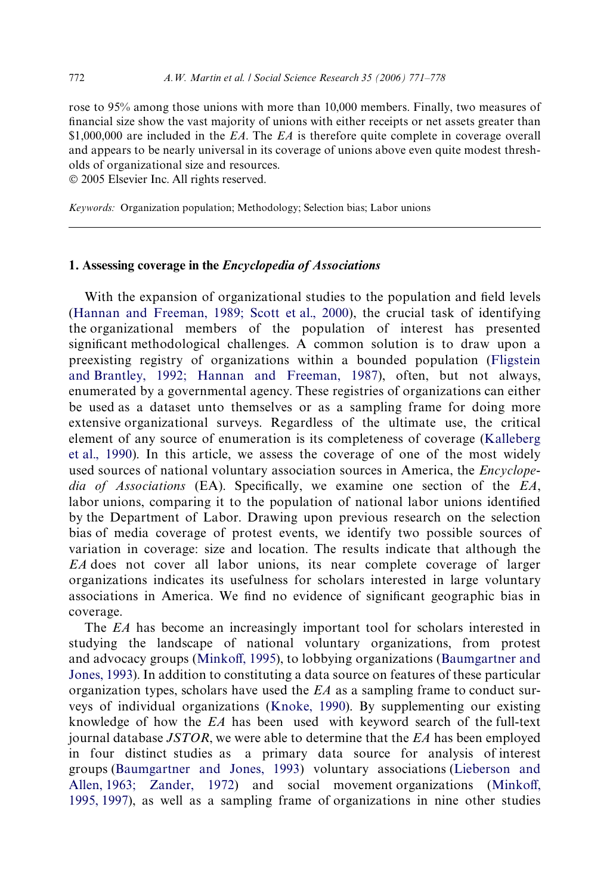rose to 95% among those unions with more than 10,000 members. Finally, two measures of financial size show the vast majority of unions with either receipts or net assets greater than \$1,000,000 are included in the *EA*. The *EA* is therefore quite complete in coverage overall and appears to be nearly universal in its coverage of unions above even quite modest thresholds of organizational size and resources.

© 2005 Elsevier Inc. All rights reserved.

*Keywords:* Organization population; Methodology; Selection bias; Labor unions

# **1. Assessing coverage in the** *Encyclopedia of Associations*

With the expansion of organizational studies to the population and field levels ([Hannan and Freeman, 1989; Scott et al., 2000](#page-7-0)), the crucial task of identifying the organizational members of the population of interest has presented significant methodological challenges. A common solution is to draw upon a preexisting registry of organizations within a bounded population [\(Fligstein](#page-6-0) [and Brantley, 1992; Hannan and Freeman, 1987](#page-6-0)), often, but not always, enumerated by a governmental agency. These registries of organizations can either be used as a dataset unto themselves or as a sampling frame for doing more extensive organizational surveys. Regardless of the ultimate use, the critical element of any source of enumeration is its completeness of coverage [\(Kalleberg](#page-7-1) [et al., 1990](#page-7-1)). In this article, we assess the coverage of one of the most widely used sources of national voluntary association sources in America, the *Encyclope*dia of Associations (EA). Specifically, we examine one section of the *EA*, labor unions, comparing it to the population of national labor unions identified by the Department of Labor. Drawing upon previous research on the selection bias of media coverage of protest events, we identify two possible sources of variation in coverage: size and location. The results indicate that although the *EA* does not cover all labor unions, its near complete coverage of larger organizations indicates its usefulness for scholars interested in large voluntary associations in America. We find no evidence of significant geographic bias in coverage.

The *EA* has become an increasingly important tool for scholars interested in studying the landscape of national voluntary organizations, from protest and advocacy groups ([Minko](#page-7-2)ff[, 1995\)](#page-7-2), to lobbying organizations [\(Baumgartner and](#page-6-1) [Jones, 1993\)](#page-6-1). In addition to constituting a data source on features of these particular organization types, scholars have used the *EA* as a sampling frame to conduct surveys of individual organizations ([Knoke, 1990\)](#page-7-3). By supplementing our existing knowledge of how the *EA* has been used with keyword search of the full-text journal database *JSTOR*, we were able to determine that the *EA* has been employed in four distinct studies as a primary data source for analysis of interest groups ([Baumgartner and Jones, 1993\)](#page-6-1) voluntary associations [\(Lieberson and](#page-7-4) [Allen, 1963; Zander, 1972](#page-7-4)) and social movement organizations ([Minko](#page-7-2)ff[,](#page-7-2) [1995, 1997](#page-7-2)), as well as a sampling frame of organizations in nine other studies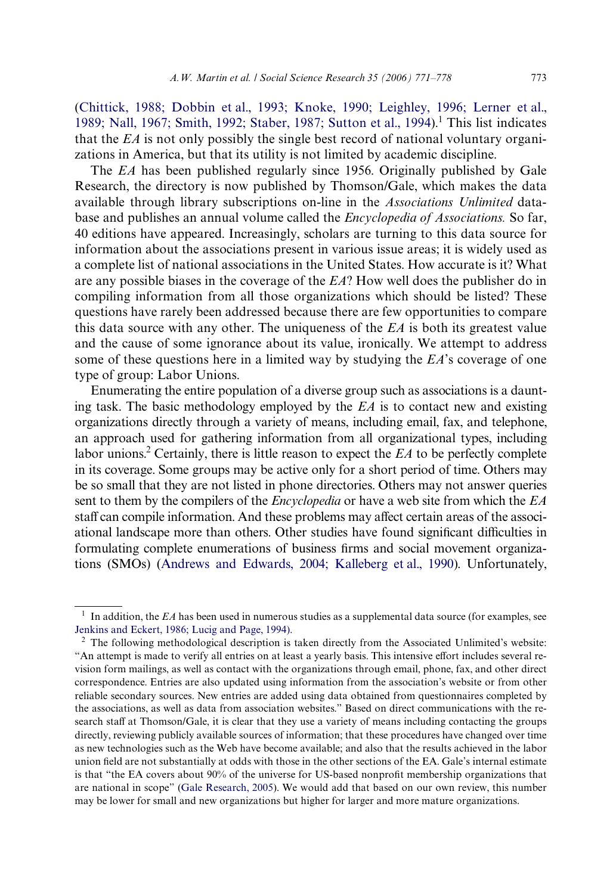[\(Chittick, 1988; Dobbin et al., 1993; Knoke, 1990; Leighley, 1996; Lerner et al.,](#page-6-2) [1989; Nall, 1967; Smith, 1992; Staber, 1987; Sutton et al., 1994\)](#page-6-2).<sup>1</sup> This list indicates that the *EA* is not only possibly the single best record of national voluntary organizations in America, but that its utility is not limited by academic discipline.

The *EA* has been published regularly since 1956. Originally published by Gale Research, the directory is now published by Thomson/Gale, which makes the data available through library subscriptions on-line in the *Associations Unlimited* database and publishes an annual volume called the *Encyclopedia of Associations.* So far, 40 editions have appeared. Increasingly, scholars are turning to this data source for information about the associations present in various issue areas; it is widely used as a complete list of national associations in the United States. How accurate is it? What are any possible biases in the coverage of the *EA*? How well does the publisher do in compiling information from all those organizations which should be listed? These questions have rarely been addressed because there are few opportunities to compare this data source with any other. The uniqueness of the *EA* is both its greatest value and the cause of some ignorance about its value, ironically. We attempt to address some of these questions here in a limited way by studying the *EA*'s coverage of one type of group: Labor Unions.

Enumerating the entire population of a diverse group such as associations is a daunting task. The basic methodology employed by the *EA* is to contact new and existing organizations directly through a variety of means, including email, fax, and telephone, an approach used for gathering information from all organizational types, including labor unions.<sup>2</sup> Certainly, there is little reason to expect the *EA* to be perfectly complete in its coverage. Some groups may be active only for a short period of time. Others may be so small that they are not listed in phone directories. Others may not answer queries sent to them by the compilers of the *Encyclopedia* or have a web site from which the *EA* staff can compile information. And these problems may affect certain areas of the associ-ational landscape more than others. Other studies have found significant difficulties in formulating complete enumerations of business firms and social movement organizations (SMOs) [\(Andrews and Edwards, 2004; Kalleberg et al., 1990\)](#page-6-3). Unfortunately,

<sup>&</sup>lt;sup>1</sup> In addition, the *EA* has been used in numerous studies as a supplemental data source (for examples, see [Jenkins and Eckert, 1986; Lucig and Page, 1994\).](#page-7-5)

<sup>&</sup>lt;sup>2</sup> The following methodological description is taken directly from the Associated Unlimited's website: "An attempt is made to verify all entries on at least a yearly basis. This intensive effort includes several revision form mailings, as well as contact with the organizations through email, phone, fax, and other direct correspondence. Entries are also updated using information from the association's website or from other reliable secondary sources. New entries are added using data obtained from questionnaires completed by the associations, as well as data from association websites." Based on direct communications with the research staff at Thomson/Gale, it is clear that they use a variety of means including contacting the groups directly, reviewing publicly available sources of information; that these procedures have changed over time as new technologies such as the Web have become available; and also that the results achieved in the labor union field are not substantially at odds with those in the other sections of the EA. Gale's internal estimate is that "the EA covers about 90% of the universe for US-based nonprofit membership organizations that are national in scope" ([Gale Research, 2005\)](#page-7-6). We would add that based on our own review, this number may be lower for small and new organizations but higher for larger and more mature organizations.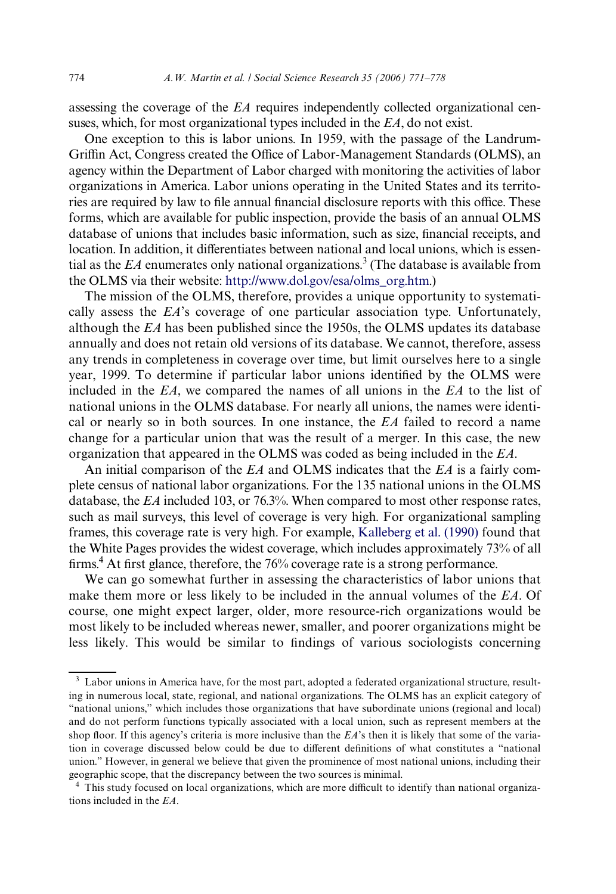assessing the coverage of the *EA* requires independently collected organizational censuses, which, for most organizational types included in the *EA*, do not exist.

One exception to this is labor unions. In 1959, with the passage of the Landrum-Griffin Act, Congress created the Office of Labor-Management Standards (OLMS), an agency within the Department of Labor charged with monitoring the activities of labor organizations in America. Labor unions operating in the United States and its territories are required by law to file annual financial disclosure reports with this office. These forms, which are available for public inspection, provide the basis of an annual OLMS database of unions that includes basic information, such as size, financial receipts, and location. In addition, it differentiates between national and local unions, which is essential as the  $EA$  enumerates only national organizations.<sup>3</sup> (The database is available from the OLMS via their website: [http://www.dol.gov/esa/olms\\_org.htm](http://www.dol.gov/esa/olms_org.htm).)

The mission of the OLMS, therefore, provides a unique opportunity to systematically assess the *EA*'s coverage of one particular association type. Unfortunately, although the *EA* has been published since the 1950s, the OLMS updates its database annually and does not retain old versions of its database. We cannot, therefore, assess any trends in completeness in coverage over time, but limit ourselves here to a single year, 1999. To determine if particular labor unions identified by the OLMS were included in the *EA*, we compared the names of all unions in the *EA* to the list of national unions in the OLMS database. For nearly all unions, the names were identical or nearly so in both sources. In one instance, the *EA* failed to record a name change for a particular union that was the result of a merger. In this case, the new organization that appeared in the OLMS was coded as being included in the *EA*.

An initial comparison of the *EA* and OLMS indicates that the *EA* is a fairly complete census of national labor organizations. For the 135 national unions in the OLMS database, the *EA* included 103, or 76.3%. When compared to most other response rates, such as mail surveys, this level of coverage is very high. For organizational sampling frames, this coverage rate is very high. For example, [Kalleberg et al. \(1990\)](#page-7-1) found that the White Pages provides the widest coverage, which includes approximately 73% of all firms.<sup>4</sup> At first glance, therefore, the 76% coverage rate is a strong performance.

We can go somewhat further in assessing the characteristics of labor unions that make them more or less likely to be included in the annual volumes of the *EA*. Of course, one might expect larger, older, more resource-rich organizations would be most likely to be included whereas newer, smaller, and poorer organizations might be less likely. This would be similar to findings of various sociologists concerning

<sup>&</sup>lt;sup>3</sup> Labor unions in America have, for the most part, adopted a federated organizational structure, resulting in numerous local, state, regional, and national organizations. The OLMS has an explicit category of "national unions," which includes those organizations that have subordinate unions (regional and local) and do not perform functions typically associated with a local union, such as represent members at the shop floor. If this agency's criteria is more inclusive than the *EA*'s then it is likely that some of the variation in coverage discussed below could be due to different definitions of what constitutes a "national union." However, in general we believe that given the prominence of most national unions, including their geographic scope, that the discrepancy between the two sources is minimal.

<sup>&</sup>lt;sup>4</sup> This study focused on local organizations, which are more difficult to identify than national organizations included in the *EA*.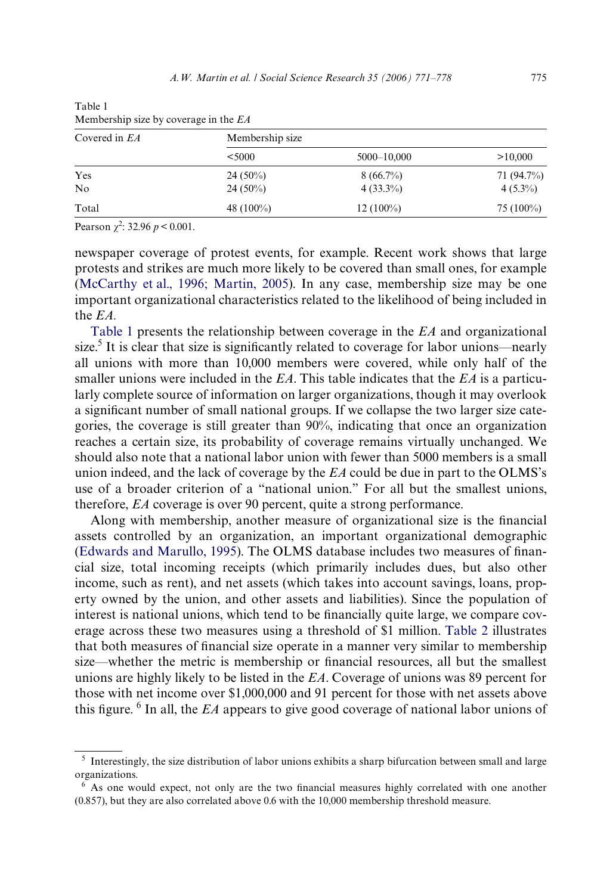| Covered in EA  | Membership size |             |             |  |
|----------------|-----------------|-------------|-------------|--|
|                | < 5000          | 5000-10,000 | >10,000     |  |
| Yes            | $24(50\%)$      | $8(66.7\%)$ | 71 (94.7%)  |  |
| N <sub>o</sub> | $24(50\%)$      | $4(33.3\%)$ | $4(5.3\%)$  |  |
| Total          | 48 $(100\%)$    | $12(100\%)$ | $75(100\%)$ |  |

<span id="page-4-0"></span>Table 1 Membership size by coverage in the *EA*

Pearson  $\chi^2$ : 32.96  $p < 0.001$ .

newspaper coverage of protest events, for example. Recent work shows that large protests and strikes are much more likely to be covered than small ones, for example [\(McCarthy et al., 1996; Martin, 2005](#page-7-7)). In any case, membership size may be one important organizational characteristics related to the likelihood of being included in the *EA.*

[Table 1](#page-4-0) presents the relationship between coverage in the *EA* and organizational size.<sup>5</sup> It is clear that size is significantly related to coverage for labor unions—nearly all unions with more than 10,000 members were covered, while only half of the smaller unions were included in the *EA*. This table indicates that the *EA* is a particularly complete source of information on larger organizations, though it may overlook a significant number of small national groups. If we collapse the two larger size categories, the coverage is still greater than 90%, indicating that once an organization reaches a certain size, its probability of coverage remains virtually unchanged. We should also note that a national labor union with fewer than 5000 members is a small union indeed, and the lack of coverage by the *EA* could be due in part to the OLMS's use of a broader criterion of a "national union." For all but the smallest unions, therefore, *EA* coverage is over 90 percent, quite a strong performance.

Along with membership, another measure of organizational size is the financial assets controlled by an organization, an important organizational demographic [\(Edwards and Marullo, 1995\)](#page-6-4). The OLMS database includes two measures of financial size, total incoming receipts (which primarily includes dues, but also other income, such as rent), and net assets (which takes into account savings, loans, property owned by the union, and other assets and liabilities). Since the population of interest is national unions, which tend to be financially quite large, we compare coverage across these two measures using a threshold of \$1 million. [Table 2](#page-5-0) illustrates that both measures of financial size operate in a manner very similar to membership size—whether the metric is membership or financial resources, all but the smallest unions are highly likely to be listed in the *EA*. Coverage of unions was 89 percent for those with net income over \$1,000,000 and 91 percent for those with net assets above this figure. <sup>6</sup> In all, the *EA* appears to give good coverage of national labor unions of

<sup>&</sup>lt;sup>5</sup> Interestingly, the size distribution of labor unions exhibits a sharp bifurcation between small and large organizations.

 $6$  As one would expect, not only are the two financial measures highly correlated with one another (0.857), but they are also correlated above 0.6 with the 10,000 membership threshold measure.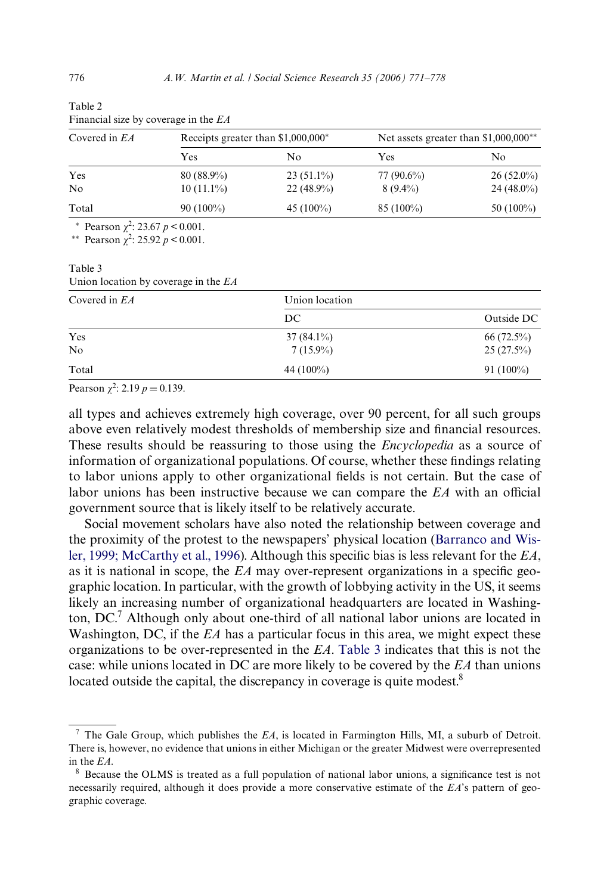| Covered in EA | Receipts greater than $$1,000,000^*$ |              | Net assets greater than \$1,000,000 <sup>**</sup> |              |
|---------------|--------------------------------------|--------------|---------------------------------------------------|--------------|
|               | Yes                                  | No           | Yes                                               | No           |
| Yes           | $80(88.9\%)$                         | $23(51.1\%)$ | 77 (90.6%)                                        | $26(52.0\%)$ |
| No            | $10(11.1\%)$                         | $22(48.9\%)$ | $8(9.4\%)$                                        | $24(48.0\%)$ |
| Total         | $90(100\%)$                          | 45 $(100\%)$ | $85(100\%)$                                       | 50 $(100\%)$ |

| rable 2 |                                      |  |
|---------|--------------------------------------|--|
|         | Financial size by coverage in the EA |  |

\* Pearson  $\chi^2$ : 23.67 *p* < 0.001.

<sup>\*\*</sup> Pearson  $\chi^2$ : 25.92 *p* < 0.001.

#### <span id="page-5-1"></span>Table 3 Union location by coverage in the *EA*

| Covered in EA  | Union location |              |
|----------------|----------------|--------------|
|                | DC             | Outside DC   |
| Yes            | $37(84.1\%)$   | $66(72.5\%)$ |
| N <sub>o</sub> | $7(15.9\%)$    | $25(27.5\%)$ |
| Total          | 44 $(100\%)$   | $91(100\%)$  |

Pearson  $\chi^2$ : 2.19  $p = 0.139$ .

all types and achieves extremely high coverage, over 90 percent, for all such groups above even relatively modest thresholds of membership size and financial resources. These results should be reassuring to those using the *Encyclopedia* as a source of information of organizational populations. Of course, whether these findings relating to labor unions apply to other organizational fields is not certain. But the case of labor unions has been instructive because we can compare the *EA* with an official government source that is likely itself to be relatively accurate.

Social movement scholars have also noted the relationship between coverage and the proximity of the protest to the newspapers' physical location ([Barranco and Wis](#page-6-5)[ler, 1999; McCarthy et al., 1996\)](#page-6-5). Although this specific bias is less relevant for the  $EA$ , as it is national in scope, the  $EA$  may over-represent organizations in a specific geographic location. In particular, with the growth of lobbying activity in the US, it seems likely an increasing number of organizational headquarters are located in Washington, DC.<sup>7</sup> Although only about one-third of all national labor unions are located in Washington, DC, if the *EA* has a particular focus in this area, we might expect these organizations to be over-represented in the *EA*. [Table 3](#page-5-1) indicates that this is not the case: while unions located in DC are more likely to be covered by the *EA* than unions located outside the capital, the discrepancy in coverage is quite modest.<sup>8</sup>

<span id="page-5-0"></span> $T<sub>1</sub>$ 

<sup>7</sup> The Gale Group, which publishes the *EA*, is located in Farmington Hills, MI, a suburb of Detroit. There is, however, no evidence that unions in either Michigan or the greater Midwest were overrepresented in the *EA*.

<sup>&</sup>lt;sup>8</sup> Because the OLMS is treated as a full population of national labor unions, a significance test is not necessarily required, although it does provide a more conservative estimate of the *EA*'s pattern of geographic coverage.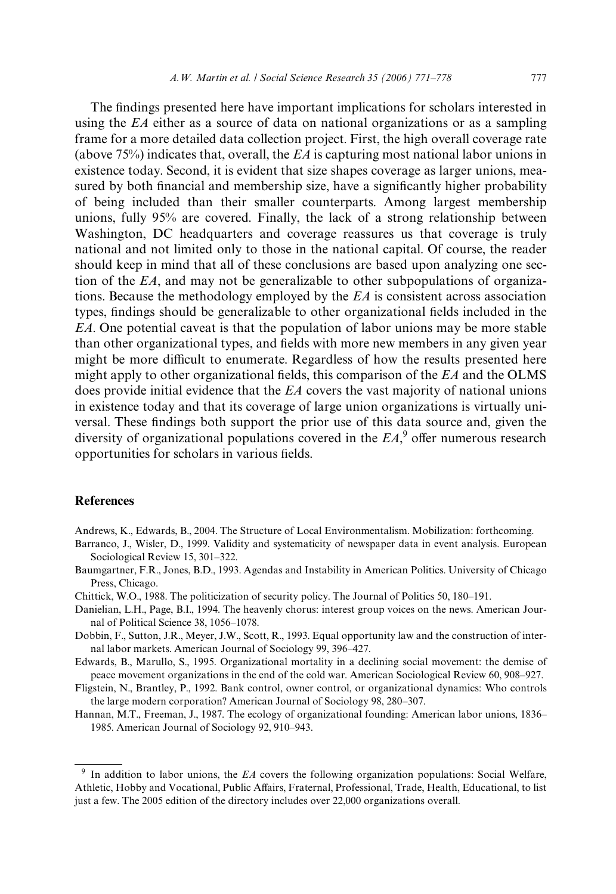The findings presented here have important implications for scholars interested in using the *EA* either as a source of data on national organizations or as a sampling frame for a more detailed data collection project. First, the high overall coverage rate (above 75%) indicates that, overall, the *EA* is capturing most national labor unions in existence today. Second, it is evident that size shapes coverage as larger unions, measured by both financial and membership size, have a significantly higher probability of being included than their smaller counterparts. Among largest membership unions, fully 95% are covered. Finally, the lack of a strong relationship between Washington, DC headquarters and coverage reassures us that coverage is truly national and not limited only to those in the national capital. Of course, the reader should keep in mind that all of these conclusions are based upon analyzing one section of the *EA*, and may not be generalizable to other subpopulations of organizations. Because the methodology employed by the *EA* is consistent across association types, findings should be generalizable to other organizational fields included in the *EA*. One potential caveat is that the population of labor unions may be more stable than other organizational types, and fields with more new members in any given year might be more difficult to enumerate. Regardless of how the results presented here might apply to other organizational fields, this comparison of the  $EA$  and the OLMS does provide initial evidence that the *EA* covers the vast majority of national unions in existence today and that its coverage of large union organizations is virtually universal. These findings both support the prior use of this data source and, given the diversity of organizational populations covered in the  $EA$ ,<sup>9</sup> offer numerous research opportunities for scholars in various fields.

## **References**

<span id="page-6-3"></span>Andrews, K., Edwards, B., 2004. The Structure of Local Environmentalism. Mobilization: forthcoming.

- <span id="page-6-5"></span>Barranco, J., Wisler, D., 1999. Validity and systematicity of newspaper data in event analysis. European Sociological Review 15, 301–322.
- <span id="page-6-1"></span>Baumgartner, F.R., Jones, B.D., 1993. Agendas and Instability in American Politics. University of Chicago Press, Chicago.
- <span id="page-6-2"></span>Chittick, W.O., 1988. The politicization of security policy. The Journal of Politics 50, 180–191.
- Danielian, L.H., Page, B.I., 1994. The heavenly chorus: interest group voices on the news. American Journal of Political Science 38, 1056–1078.
- Dobbin, F., Sutton, J.R., Meyer, J.W., Scott, R., 1993. Equal opportunity law and the construction of internal labor markets. American Journal of Sociology 99, 396–427.
- <span id="page-6-4"></span>Edwards, B., Marullo, S., 1995. Organizational mortality in a declining social movement: the demise of peace movement organizations in the end of the cold war. American Sociological Review 60, 908–927.
- <span id="page-6-0"></span>Fligstein, N., Brantley, P., 1992. Bank control, owner control, or organizational dynamics: Who controls the large modern corporation? American Journal of Sociology 98, 280–307.
- Hannan, M.T., Freeman, J., 1987. The ecology of organizational founding: American labor unions, 1836– 1985. American Journal of Sociology 92, 910–943.

<sup>9</sup> In addition to labor unions, the *EA* covers the following organization populations: Social Welfare, Athletic, Hobby and Vocational, Public Affairs, Fraternal, Professional, Trade, Health, Educational, to list just a few. The 2005 edition of the directory includes over 22,000 organizations overall.